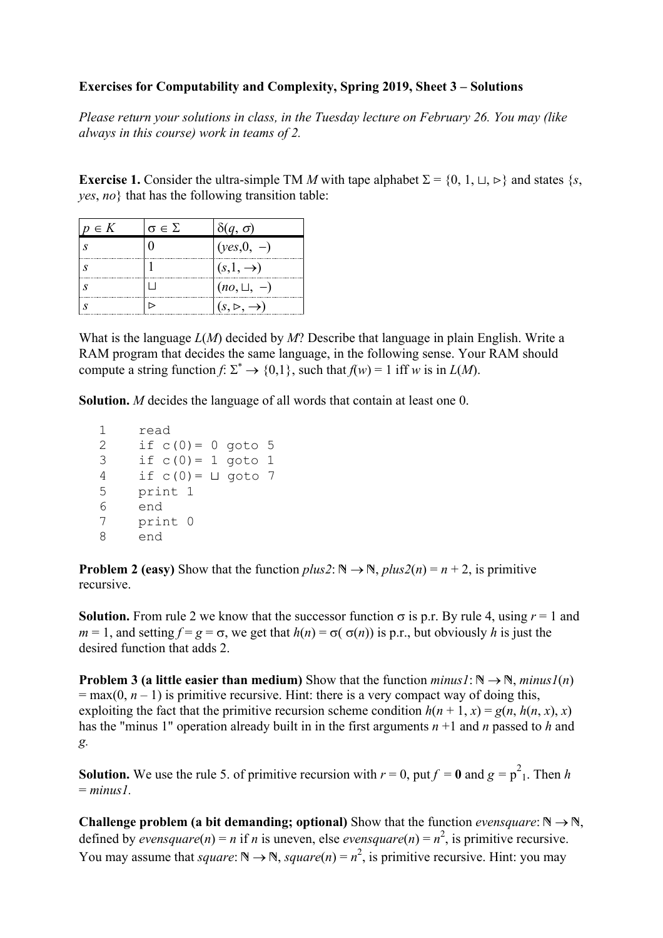## **Exercises for Computability and Complexity, Spring 2019, Sheet 3 – Solutions**

*Please return your solutions in class, in the Tuesday lecture on February 26. You may (like always in this course) work in teams of 2.* 

**Exercise 1.** Consider the ultra-simple TM *M* with tape alphabet  $\Sigma = \{0, 1, \sqcup, \blacktriangleright\}$  and states  $\{s, \blacktriangleleft\}$ *yes*, *no*} that has the following transition table:

| $p \in K$ | $\sigma \in \Sigma$ | $(q, \sigma)$            |
|-----------|---------------------|--------------------------|
|           |                     | $(yes, 0, -)$            |
|           |                     | $(s,1,\rightarrow)$      |
|           |                     | $(no, \sqcup, -)$        |
|           |                     | $(s, \rhd, \rightarrow)$ |

What is the language *L*(*M*) decided by *M*? Describe that language in plain English. Write a RAM program that decides the same language, in the following sense. Your RAM should compute a string function  $f: \Sigma^* \to \{0,1\}$ , such that  $f(w) = 1$  iff *w* is in  $L(M)$ .

**Solution.** *M* decides the language of all words that contain at least one 0.

1 read<br>2 if c if  $c(0) = 0$  goto 5 3 if  $c(0) = 1$  goto 1 4 if  $c(0) = \sqcup$  goto 7 5 print 1 6 end 7 print 0 8 end

**Problem 2 (easy)** Show that the function  $plus2: \mathbb{N} \rightarrow \mathbb{N}$ ,  $plus2(n) = n + 2$ , is primitive recursive.

**Solution.** From rule 2 we know that the successor function  $\sigma$  is p.r. By rule 4, using  $r = 1$  and  $m = 1$ , and setting  $f = g = \sigma$ , we get that  $h(n) = \sigma(\sigma(n))$  is p.r., but obviously *h* is just the desired function that adds 2.

**Problem 3** (a little easier than medium) Show that the function  $minus1: \mathbb{N} \rightarrow \mathbb{N}$ ,  $minus1(n)$  $=$  max(0,  $n - 1$ ) is primitive recursive. Hint: there is a very compact way of doing this, exploiting the fact that the primitive recursion scheme condition  $h(n + 1, x) = g(n, h(n, x), x)$ has the "minus 1" operation already built in in the first arguments *n* +1 and *n* passed to *h* and *g.* 

**Solution.** We use the rule 5. of primitive recursion with  $r = 0$ , put  $f = 0$  and  $g = p^2$ . Then *h*  $= minus1$ 

**Challenge problem (a bit demanding; optional)** Show that the function *evensquare*:  $\mathbb{N} \rightarrow \mathbb{N}$ , defined by *evensquare*(*n*) = *n* if *n* is uneven, else *evensquare*(*n*) =  $n^2$ , is primitive recursive. You may assume that *square*:  $\mathbb{N} \to \mathbb{N}$ , *square*(*n*) =  $n^2$ , is primitive recursive. Hint: you may